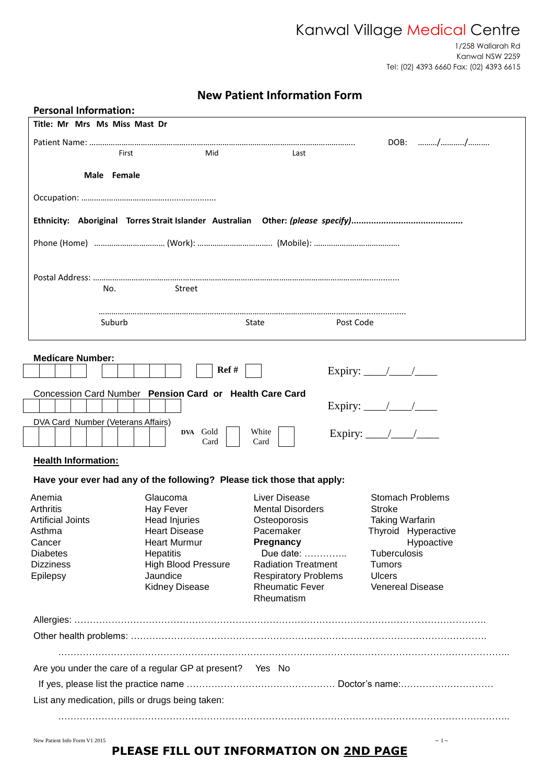# Kanwal Village Medical Centre

 1/258 Wallarah Rd Kanwal NSW 2259 Tel: (02) 4393 6660 Fax: (02) 4393 6615

# **New Patient Information Form**

| <b>Personal Information:</b>                              |                                                                        |                                                                            |                                          |  |  |
|-----------------------------------------------------------|------------------------------------------------------------------------|----------------------------------------------------------------------------|------------------------------------------|--|--|
| Title: Mr Mrs Ms Miss Mast Dr                             |                                                                        |                                                                            |                                          |  |  |
|                                                           |                                                                        |                                                                            | DOB: //                                  |  |  |
| First                                                     | Mid                                                                    | Last                                                                       |                                          |  |  |
| Male Female                                               |                                                                        |                                                                            |                                          |  |  |
|                                                           |                                                                        |                                                                            |                                          |  |  |
|                                                           |                                                                        |                                                                            |                                          |  |  |
|                                                           |                                                                        |                                                                            |                                          |  |  |
|                                                           |                                                                        |                                                                            |                                          |  |  |
|                                                           |                                                                        | Phone (Home) ………………………………… (Work): ………………………………… (Mobile): ……………………………………… |                                          |  |  |
|                                                           |                                                                        |                                                                            |                                          |  |  |
|                                                           |                                                                        |                                                                            |                                          |  |  |
| No.                                                       | Street                                                                 |                                                                            |                                          |  |  |
|                                                           |                                                                        |                                                                            |                                          |  |  |
| Suburb                                                    |                                                                        | Post Code<br>State                                                         |                                          |  |  |
|                                                           |                                                                        |                                                                            |                                          |  |  |
| <b>Medicare Number:</b>                                   |                                                                        |                                                                            |                                          |  |  |
|                                                           | Ref #                                                                  |                                                                            | Expiry: $\frac{\sqrt{2}}{2}$             |  |  |
|                                                           |                                                                        |                                                                            |                                          |  |  |
|                                                           | Concession Card Number Pension Card or Health Care Card                |                                                                            |                                          |  |  |
|                                                           |                                                                        |                                                                            | Expiry: $\frac{\sqrt{2}}{2}$             |  |  |
| DVA Card Number (Veterans Affairs)                        | DVA Gold                                                               | White                                                                      | Expiry: $\frac{\sqrt{2}}{2}$             |  |  |
|                                                           | Card                                                                   | Card                                                                       |                                          |  |  |
| <b>Health Information:</b>                                |                                                                        |                                                                            |                                          |  |  |
|                                                           | Have your ever had any of the following? Please tick those that apply: |                                                                            |                                          |  |  |
|                                                           |                                                                        |                                                                            |                                          |  |  |
| Anemia<br>Arthritis                                       | Glaucoma<br>Hay Fever                                                  | Liver Disease<br><b>Mental Disorders</b>                                   | <b>Stomach Problems</b><br><b>Stroke</b> |  |  |
| <b>Artificial Joints</b>                                  | <b>Head Injuries</b>                                                   | Osteoporosis                                                               | <b>Taking Warfarin</b>                   |  |  |
| Asthma                                                    | <b>Heart Disease</b>                                                   | Pacemaker                                                                  | Thyroid Hyperactive                      |  |  |
| Cancer                                                    | <b>Heart Murmur</b>                                                    | Pregnancy                                                                  | Hypoactive                               |  |  |
| <b>Diabetes</b>                                           | Hepatitis                                                              | Due date:                                                                  | Tuberculosis                             |  |  |
| <b>Dizziness</b>                                          | <b>High Blood Pressure</b>                                             | <b>Radiation Treatment</b>                                                 | <b>Tumors</b>                            |  |  |
| Epilepsy                                                  | Jaundice                                                               | <b>Respiratory Problems</b>                                                | <b>Ulcers</b>                            |  |  |
|                                                           | <b>Kidney Disease</b>                                                  | <b>Rheumatic Fever</b>                                                     | Venereal Disease                         |  |  |
|                                                           |                                                                        | Rheumatism                                                                 |                                          |  |  |
|                                                           |                                                                        |                                                                            |                                          |  |  |
|                                                           |                                                                        |                                                                            |                                          |  |  |
|                                                           |                                                                        |                                                                            |                                          |  |  |
| Are you under the care of a regular GP at present? Yes No |                                                                        |                                                                            |                                          |  |  |
|                                                           |                                                                        |                                                                            |                                          |  |  |
| List any medication, pills or drugs being taken:          |                                                                        |                                                                            |                                          |  |  |
|                                                           |                                                                        |                                                                            |                                          |  |  |
|                                                           |                                                                        |                                                                            |                                          |  |  |

New Patient Info Form V1 2015  $\sim 1 \sim$ 

# **PLEASE FILL OUT INFORMATION ON 2ND PAGE**